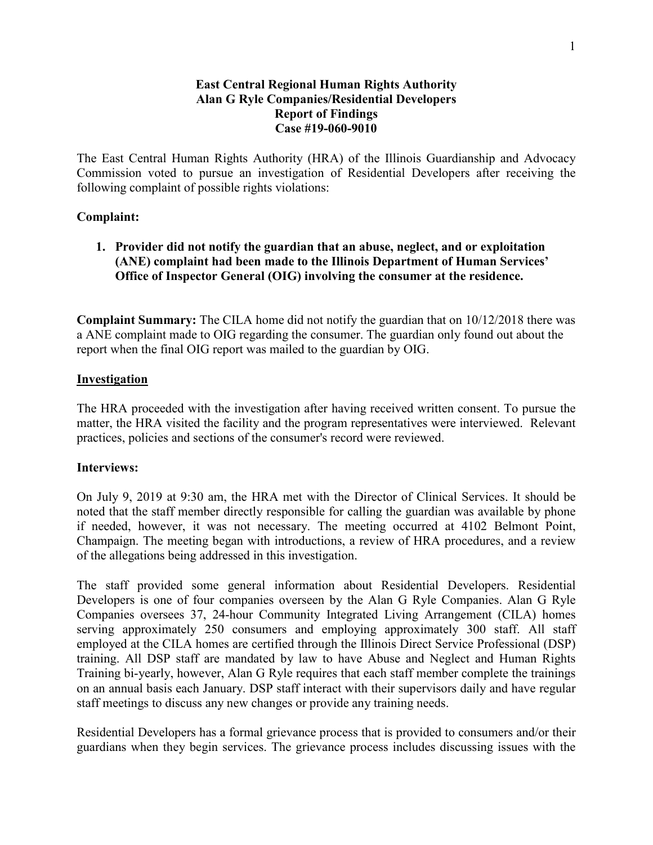### **East Central Regional Human Rights Authority Alan G Ryle Companies/Residential Developers Report of Findings Case #19-060-9010**

The East Central Human Rights Authority (HRA) of the Illinois Guardianship and Advocacy Commission voted to pursue an investigation of Residential Developers after receiving the following complaint of possible rights violations:

### **Complaint:**

# **1. Provider did not notify the guardian that an abuse, neglect, and or exploitation (ANE) complaint had been made to the Illinois Department of Human Services' Office of Inspector General (OIG) involving the consumer at the residence.**

**Complaint Summary:** The CILA home did not notify the guardian that on 10/12/2018 there was a ANE complaint made to OIG regarding the consumer. The guardian only found out about the report when the final OIG report was mailed to the guardian by OIG.

### **Investigation**

The HRA proceeded with the investigation after having received written consent. To pursue the matter, the HRA visited the facility and the program representatives were interviewed. Relevant practices, policies and sections of the consumer's record were reviewed.

### **Interviews:**

On July 9, 2019 at 9:30 am, the HRA met with the Director of Clinical Services. It should be noted that the staff member directly responsible for calling the guardian was available by phone if needed, however, it was not necessary. The meeting occurred at 4102 Belmont Point, Champaign. The meeting began with introductions, a review of HRA procedures, and a review of the allegations being addressed in this investigation.

The staff provided some general information about Residential Developers. Residential Developers is one of four companies overseen by the Alan G Ryle Companies. Alan G Ryle Companies oversees 37, 24-hour Community Integrated Living Arrangement (CILA) homes serving approximately 250 consumers and employing approximately 300 staff. All staff employed at the CILA homes are certified through the Illinois Direct Service Professional (DSP) training. All DSP staff are mandated by law to have Abuse and Neglect and Human Rights Training bi-yearly, however, Alan G Ryle requires that each staff member complete the trainings on an annual basis each January. DSP staff interact with their supervisors daily and have regular staff meetings to discuss any new changes or provide any training needs.

Residential Developers has a formal grievance process that is provided to consumers and/or their guardians when they begin services. The grievance process includes discussing issues with the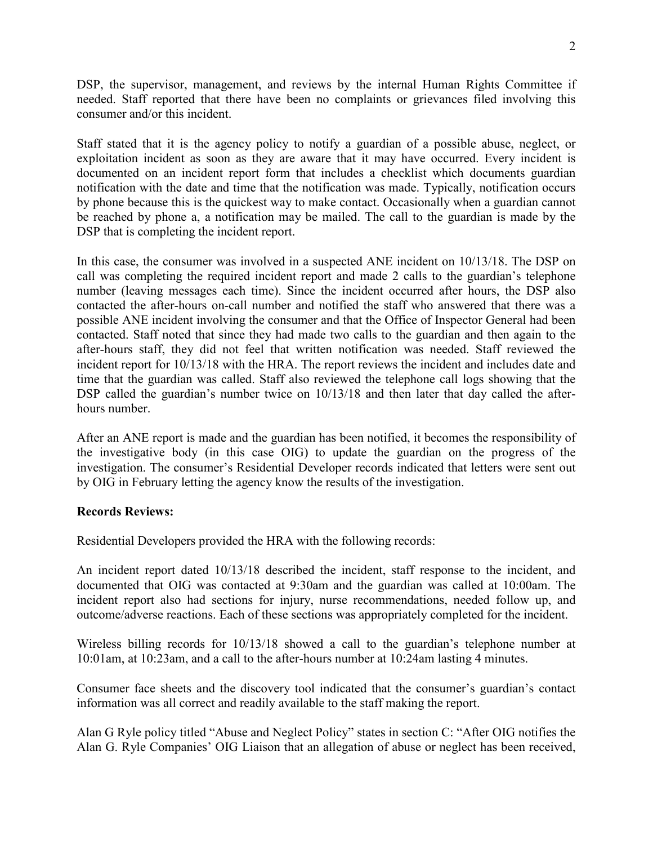DSP, the supervisor, management, and reviews by the internal Human Rights Committee if needed. Staff reported that there have been no complaints or grievances filed involving this consumer and/or this incident.

Staff stated that it is the agency policy to notify a guardian of a possible abuse, neglect, or exploitation incident as soon as they are aware that it may have occurred. Every incident is documented on an incident report form that includes a checklist which documents guardian notification with the date and time that the notification was made. Typically, notification occurs by phone because this is the quickest way to make contact. Occasionally when a guardian cannot be reached by phone a, a notification may be mailed. The call to the guardian is made by the DSP that is completing the incident report.

In this case, the consumer was involved in a suspected ANE incident on 10/13/18. The DSP on call was completing the required incident report and made 2 calls to the guardian's telephone number (leaving messages each time). Since the incident occurred after hours, the DSP also contacted the after-hours on-call number and notified the staff who answered that there was a possible ANE incident involving the consumer and that the Office of Inspector General had been contacted. Staff noted that since they had made two calls to the guardian and then again to the after-hours staff, they did not feel that written notification was needed. Staff reviewed the incident report for 10/13/18 with the HRA. The report reviews the incident and includes date and time that the guardian was called. Staff also reviewed the telephone call logs showing that the DSP called the guardian's number twice on  $10/13/18$  and then later that day called the afterhours number.

After an ANE report is made and the guardian has been notified, it becomes the responsibility of the investigative body (in this case OIG) to update the guardian on the progress of the investigation. The consumer's Residential Developer records indicated that letters were sent out by OIG in February letting the agency know the results of the investigation.

### **Records Reviews:**

Residential Developers provided the HRA with the following records:

An incident report dated 10/13/18 described the incident, staff response to the incident, and documented that OIG was contacted at 9:30am and the guardian was called at 10:00am. The incident report also had sections for injury, nurse recommendations, needed follow up, and outcome/adverse reactions. Each of these sections was appropriately completed for the incident.

Wireless billing records for 10/13/18 showed a call to the guardian's telephone number at 10:01am, at 10:23am, and a call to the after-hours number at 10:24am lasting 4 minutes.

Consumer face sheets and the discovery tool indicated that the consumer's guardian's contact information was all correct and readily available to the staff making the report.

Alan G Ryle policy titled "Abuse and Neglect Policy" states in section C: "After OIG notifies the Alan G. Ryle Companies' OIG Liaison that an allegation of abuse or neglect has been received,